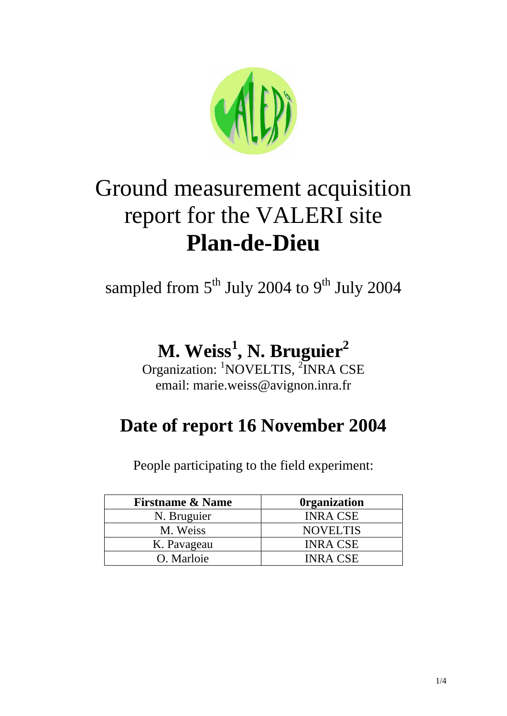

# Ground measurement acquisition report for the VALERI site **Plan-de-Dieu**

sampled from  $5<sup>th</sup>$  July 2004 to 9<sup>th</sup> July 2004

# **M. Weiss1 , N. Bruguier2**

Organization: <sup>1</sup>NOVELTIS, <sup>2</sup>INRA CSE email: marie.weiss@avignon.inra.fr

## **Date of report 16 November 2004**

People participating to the field experiment:

| <b>Firstname &amp; Name</b> | <b>Organization</b> |
|-----------------------------|---------------------|
| N. Bruguier                 | <b>INRA CSE</b>     |
| M. Weiss                    | <b>NOVELTIS</b>     |
| K. Pavageau                 | <b>INRA CSE</b>     |
| O. Marloie                  | <b>INRA CSE</b>     |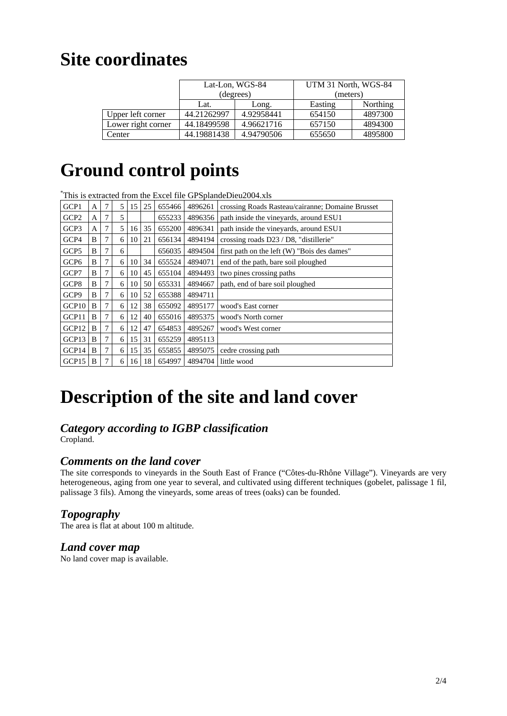### **Site coordinates**

|                    |             | Lat-Lon, WGS-84 | UTM 31 North, WGS-84 |          |  |
|--------------------|-------------|-----------------|----------------------|----------|--|
|                    |             | (degrees)       | (meters)             |          |  |
|                    | Lat.        | Long.           | Easting              | Northing |  |
| Upper left corner  | 44.21262997 | 4.92958441      | 654150               | 4897300  |  |
| Lower right corner | 44.18499598 | 4.96621716      | 657150               | 4894300  |  |
| Center             | 44.19881438 | 4.94790506      | 655650               | 4895800  |  |

# **Ground control points**

\* This is extracted from the Excel file GPSplandeDieu2004.xls

| GCP1              | A | 7 | 5 | 15 | 25 | 655466 | 4896261 | crossing Roads Rasteau/cairanne; Domaine Brusset |
|-------------------|---|---|---|----|----|--------|---------|--------------------------------------------------|
| GCP2              | A | 7 | 5 |    |    | 655233 | 4896356 | path inside the vineyards, around ESU1           |
| GCP3              | A | 7 | 5 | 16 | 35 | 655200 | 4896341 | path inside the vineyards, around ESU1           |
| GCP4              | B |   | 6 | 10 | 21 | 656134 | 4894194 | crossing roads D23 / D8, "distillerie"           |
| GCP <sub>5</sub>  | B | 7 | 6 |    |    | 656035 | 4894504 | first path on the left (W) "Bois des dames"      |
| GCP <sub>6</sub>  | B |   | 6 | 10 | 34 | 655524 | 4894071 | end of the path, bare soil ploughed              |
| GCP7              | B | 7 | 6 | 10 | 45 | 655104 | 4894493 | two pines crossing paths                         |
| GCP8              | B |   | 6 | 10 | 50 | 655331 | 4894667 | path, end of bare soil ploughed                  |
| GCP9              | B | 7 | 6 | 10 | 52 | 655388 | 4894711 |                                                  |
| GCP <sub>10</sub> | B | 7 | 6 | 12 | 38 | 655092 | 4895177 | wood's East corner                               |
| GCP11             | B | 7 | 6 | 12 | 40 | 655016 | 4895375 | wood's North corner                              |
| GCP12             | B | 7 | 6 | 12 | 47 | 654853 | 4895267 | wood's West corner                               |
| GCP13             | B | 7 | 6 | 15 | 31 | 655259 | 4895113 |                                                  |
| GCP14             | B | 7 | 6 | 15 | 35 | 655855 | 4895075 | cedre crossing path                              |
| GCP15             | B |   | 6 | 16 | 18 | 654997 | 4894704 | little wood                                      |

# **Description of the site and land cover**

#### *Category according to IGBP classification*

Cropland.

#### *Comments on the land cover*

The site corresponds to vineyards in the South East of France ("Côtes-du-Rhône Village"). Vineyards are very heterogeneous, aging from one year to several, and cultivated using different techniques (gobelet, palissage 1 fil, palissage 3 fils). Among the vineyards, some areas of trees (oaks) can be founded.

#### *Topography*

The area is flat at about 100 m altitude.

#### *Land cover map*

No land cover map is available.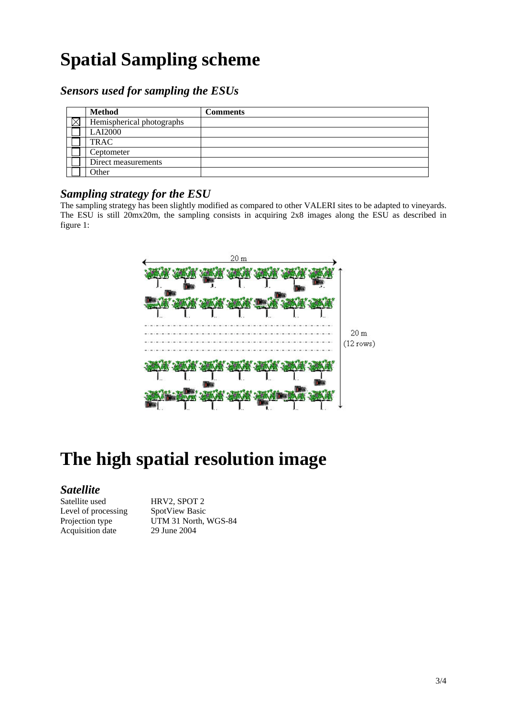# **Spatial Sampling scheme**

#### *Sensors used for sampling the ESUs*

| <b>Method</b>             | <b>Comments</b> |
|---------------------------|-----------------|
| Hemispherical photographs |                 |
| <b>LAI2000</b>            |                 |
| <b>TRAC</b>               |                 |
| Ceptometer                |                 |
| Direct measurements       |                 |
| Other                     |                 |

#### *Sampling strategy for the ESU*

The sampling strategy has been slightly modified as compared to other VALERI sites to be adapted to vineyards. The ESU is still 20mx20m, the sampling consists in acquiring 2x8 images along the ESU as described in figure 1:



# **The high spatial resolution image**

#### *Satellite*

Satellite used HRV2, SPOT 2 Level of processing SpotView Basic Acquisition date 29 June 2004

Projection type UTM 31 North, WGS-84